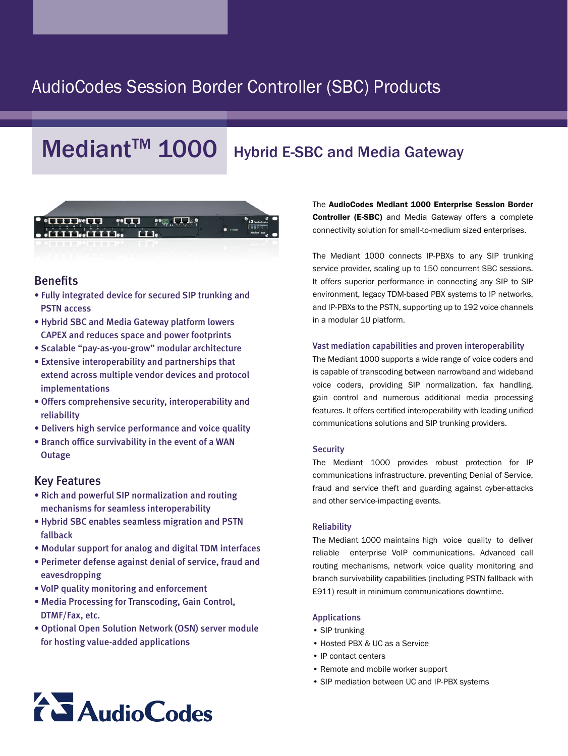## AudioCodes Session Border Controller (SBC) Products

# $Mediant^{TM}$  1000 Hybrid E-SBC and Media Gateway



### Benefits

- Fully integrated device for secured SIP trunking and **PSTN** access
- Hybrid SBC and Media Gateway platform lowers CAPEX and reduces space and power footprints
- Scalable "pay-as-you-grow" modular architecture
- Extensive interoperability and partnerships that extend across multiple vendor devices and protocol implementations
- Offers comprehensive security, interoperability and reliability
- Delivers high service performance and voice quality
- Branch office survivability in the event of a WAN **Outage**

#### **Key Features**

- Rich and powerful SIP normalization and routing mechanisms for seamless interoperability
- Hybrid SBC enables seamless migration and PSTN fallback
- Modular support for analog and digital TDM interfaces
- Perimeter defense against denial of service, fraud and eavesdropping
- VoIP quality monitoring and enforcement
- Media Processing for Transcoding, Gain Control, DTMF/Fax, etc.
- Optional Open Solution Network (OSN) server module for hosting value-added applications

The AudioCodes Mediant 1000 Enterprise Session Border **Controller (E-SBC)** and Media Gateway offers a complete connectivity solution for small-to-medium sized enterprises.

The Mediant 1000 connects IP-PBXs to any SIP trunking service provider, scaling up to 150 concurrent SBC sessions. It offers superior performance in connecting any SIP to SIP environment, legacy TDM-based PBX systems to IP networks, and IP-PBXs to the PSTN, supporting up to 192 voice channels in a modular 1U platform.

#### Vast mediation capabilities and proven interoperability

The Mediant 1000 supports a wide range of voice coders and is capable of transcoding between narrowband and wideband voice coders, providing SIP normalization, fax handling, gain control and numerous additional media processing features. It offers certified interoperability with leading unified communications solutions and SIP trunking providers.

#### **Security**

The Mediant 1000 provides robust protection for IP communications infrastructure, preventing Denial of Service, fraud and service theft and guarding against cyber-attacks and other service-impacting events.

#### Reliability

The Mediant 1000 maintains high voice quality to deliver reliable enterprise VoIP communications. Advanced call routing mechanisms, network voice quality monitoring and branch survivability capabilities (including PSTN fallback with E911) result in minimum communications downtime.

#### Applications

- SIP trunking
- Hosted PBX & UC as a Service
- IP contact centers
- Remote and mobile worker support
- SIP mediation between UC and IP-PBX systems